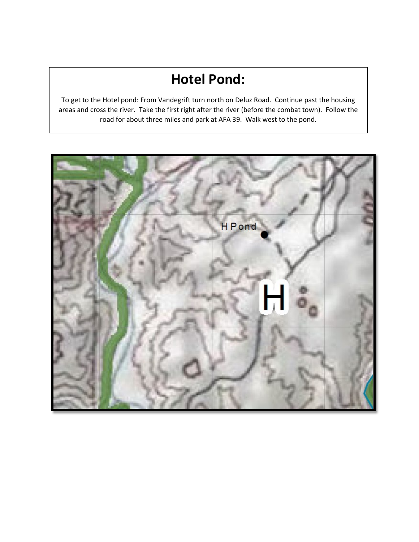# **Hotel Pond:**

To get to the Hotel pond: From Vandegrift turn north on Deluz Road. Continue past the housing areas and cross the river. Take the first right after the river (before the combat town). Follow the road for about three miles and park at AFA 39. Walk west to the pond.

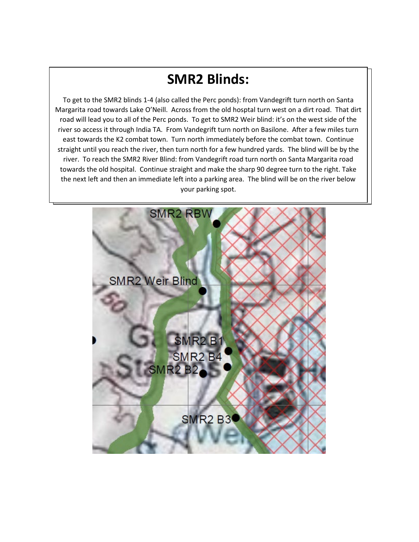# **Kilo and India Blinds: SMR2 Blinds:**

To get to the SMR2 blinds 1-4 (also called the Perc ponds): from Vandegrift turn north on Santa Margarita road towards Lake O'Neill. Across from the old hosptal turn west on a dirt road. That dirt road will lead you to all of the Perc ponds. To get to SMR2 Weir blind: it's on the west side of the river so access it through India TA. From Vandegrift turn north on Basilone. After a few miles turn east towards the K2 combat town. Turn north immediately before the combat town. Continue straight until you reach the river, then turn north for a few hundred yards. The blind will be by the river. To reach the SMR2 River Blind: from Vandegrift road turn north on Santa Margarita road towards the old hospital. Continue straight and make the sharp 90 degree turn to the right. Take the next left and then an immediate left into a parking area. The blind will be on the river below your parking spot.

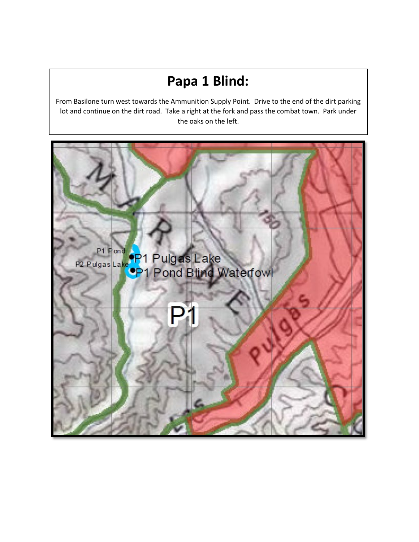# **Papa 1 Blind:**

From Basilone turn west towards the Ammunition Supply Point. Drive to the end of the dirt parking lot and continue on the dirt road. Take a right at the fork and pass the combat town. Park under the oaks on the left.

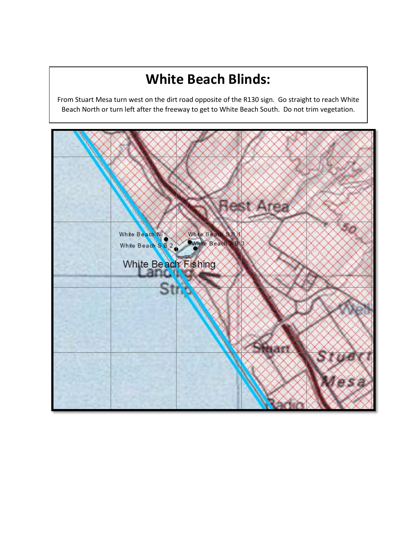## **White Beach Blinds:**

From Stuart Mesa turn west on the dirt road opposite of the R130 sign. Go straight to reach White Beach North or turn left after the freeway to get to White Beach South. Do not trim vegetation.

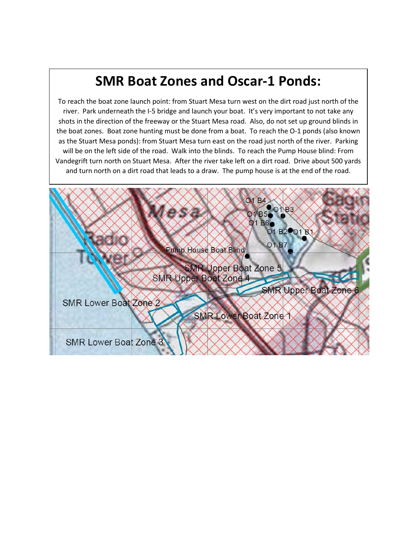## **SMR Boat Zones and Oscar-1 Ponds:**

To reach the boat zone launch point: from Stuart Mesa turn west on the dirt road just north of the river. Park underneath the I-5 bridge and launch your boat. It's very important to not take any shots in the direction of the freeway or the Stuart Mesa road. Also, do not set up ground blinds in the boat zones. Boat zone hunting must be done from a boat. To reach the O-1 ponds (also known as the Stuart Mesa ponds): from Stuart Mesa turn east on the road just north of the river. Parking will be on the left side of the road. Walk into the blinds. To reach the Pump House blind: From Vandegrift turn north on Stuart Mesa. After the river take left on a dirt road. Drive about 500 yards and turn north on a dirt road that leads to a draw. The pump house is at the end of the road.

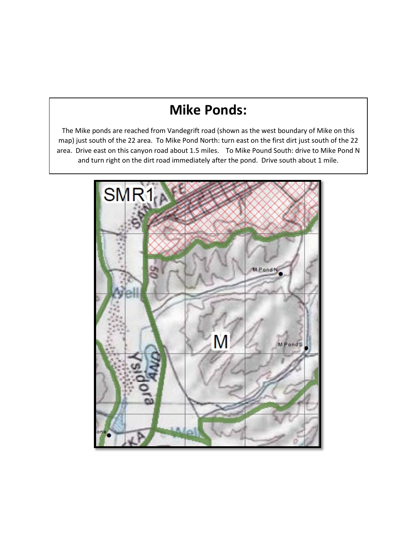## **Mike Ponds:**

The Mike ponds are reached from Vandegrift road (shown as the west boundary of Mike on this map) just south of the 22 area. To Mike Pond North: turn east on the first dirt just south of the 22 area. Drive east on this canyon road about 1.5 miles. To Mike Pound South: drive to Mike Pond N and turn right on the dirt road immediately after the pond. Drive south about 1 mile.

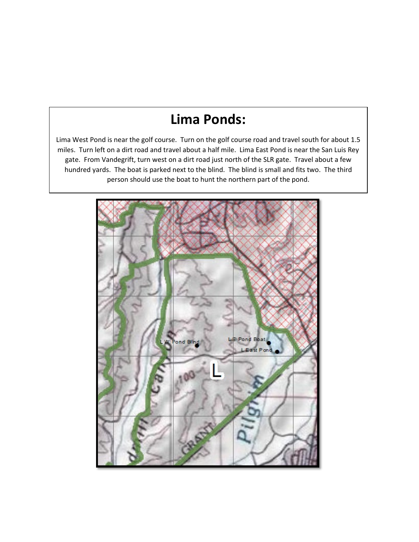#### **Lima Ponds:**

Lima West Pond is near the golf course. Turn on the golf course road and travel south for about 1.5 miles. Turn left on a dirt road and travel about a half mile. Lima East Pond is near the San Luis Rey gate. From Vandegrift, turn west on a dirt road just north of the SLR gate. Travel about a few hundred yards. The boat is parked next to the blind. The blind is small and fits two. The third person should use the boat to hunt the northern part of the pond.